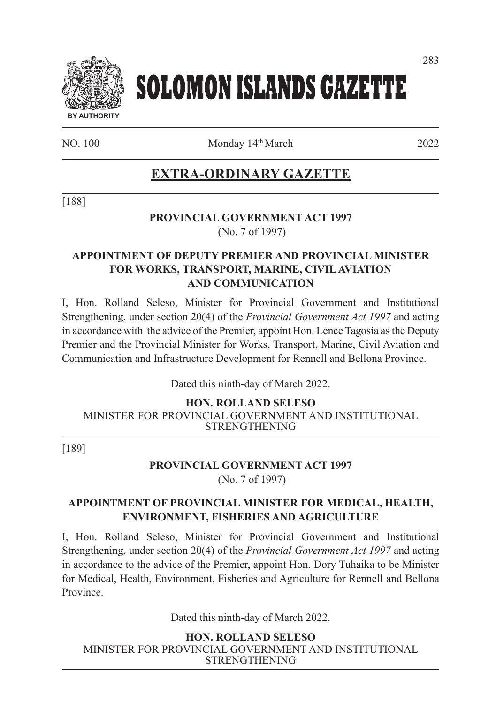

# **SOLOMON ISLANDS GAZETTE**

NO. 100 Monday 14th March 2022

### **EXTRA-ORDINARY GAZETTE**

[188]

#### **PROVINCIAL GOVERNMENT ACT 1997** (No. 7 of 1997)

#### **APPOINTMENT OF DEPUTY PREMIER AND PROVINCIAL MINISTER FOR WORKS, TRANSPORT, MARINE, CIVIL AVIATION AND COMMUNICATION**

I, Hon. Rolland Seleso, Minister for Provincial Government and Institutional Strengthening, under section 20(4) of the *Provincial Government Act 1997* and acting in accordance with the advice of the Premier, appoint Hon. Lence Tagosia as the Deputy Premier and the Provincial Minister for Works, Transport, Marine, Civil Aviation and Communication and Infrastructure Development for Rennell and Bellona Province.

Dated this ninth-day of March 2022.

**HON. ROLLAND SELESO**

MINISTER FOR PROVINCIAL GOVERNMENT AND INSTITUTIONAL STRENGTHENING

[189]

## **PROVINCIAL GOVERNMENT ACT 1997**

(No. 7 of 1997)

#### **APPOINTMENT OF PROVINCIAL MINISTER FOR MEDICAL, HEALTH, ENVIRONMENT, FISHERIES AND AGRICULTURE**

I, Hon. Rolland Seleso, Minister for Provincial Government and Institutional Strengthening, under section 20(4) of the *Provincial Government Act 1997* and acting in accordance to the advice of the Premier, appoint Hon. Dory Tuhaika to be Minister for Medical, Health, Environment, Fisheries and Agriculture for Rennell and Bellona Province.

Dated this ninth-day of March 2022.

**HON. ROLLAND SELESO** MINISTER FOR PROVINCIAL GOVERNMENT AND INSTITUTIONAL STRENGTHENING